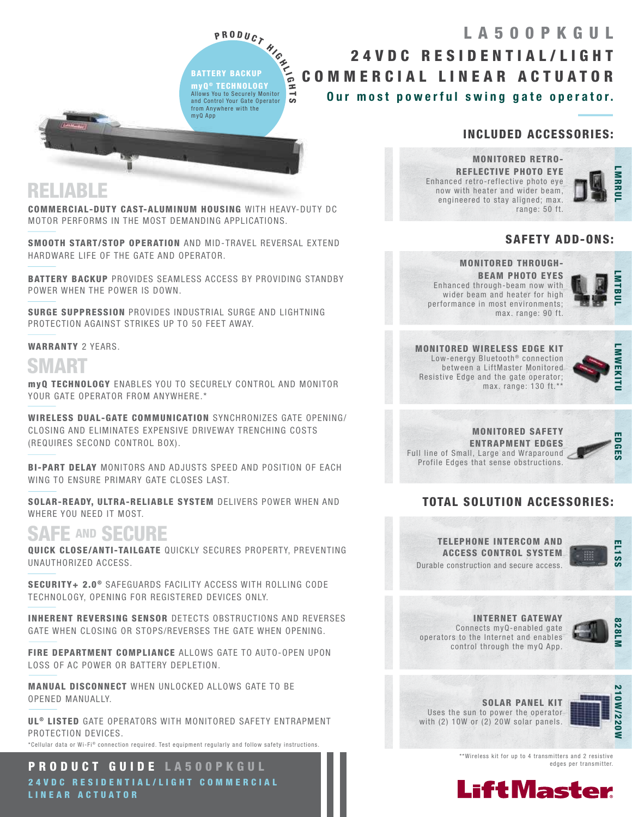P R O D U C T HIGH<br>ERY BACKUP<br>TECHNOLOGY BATTERY BACKUP **MYQ<sup>®</sup> TECHNOLOGY** Allows You to Securely Monitor and Control Your Gate Operator from Anywhere with the myQ App

—<br>∽

## Our most powerful swing gate operator. 24VDC RESIDENTIAL/LIGHT COMMERCIAL LINEAR ACTUATOR LA500PKGUL

### INCLUDED ACCESSORIES:

MONITORED RETRO-REFLECTIVE PHOTO EYE Enhanced retro-reflective photo eye now with heater and wider beam, engineered to stay aligned; max. range: 50 ft.



### SAFETY ADD-ONS:

#### MONITORED THROUGH-

BEAM PHOTO EYES Enhanced through-beam now with wider beam and heater for high performance in most environments; max. range: 90 ft.



MONITORED WIRELESS EDGE KIT Low-energy Bluetooth<sup>®</sup> connection between a LiftMaster Monitored Resistive Edge and the gate operator; max. range: 130 ft.\*\*



MONITORED SAFETY ENTRAPMENT EDGES Full line of Small, Large and Wraparound Profile Edges that sense obstructions.



## TOTAL SOLUTION ACCESSORIES:





INTERNET GATEWAY Connects myQ-enabled gate operators to the Internet and enables control through the myQ App.



SOLAR PANEL KIT Uses the sun to power the operator with (2) 10W or (2) 20W solar panels.



\*\*Wireless kit for up to 4 transmitters and 2 resistive edges per transmitter.



## RELIABLE

COMMERCIAL-DUTY CAST-ALUMINUM HOUSING WITH HEAVY-DUTY DC MOTOR PERFORMS IN THE MOST DEMANDING APPLICATIONS.

SMOOTH START/STOP OPERATION AND MID-TRAVEL REVERSAL EXTEND HARDWARE LIFE OF THE GATE AND OPERATOR.

BATTERY BACKUP PROVIDES SEAMLESS ACCESS BY PROVIDING STANDBY POWER WHEN THE POWER IS DOWN.

SURGE SUPPRESSION PROVIDES INDUSTRIAL SURGE AND LIGHTNING PROTECTION AGAINST STRIKES UP TO 50 FEET AWAY.

#### WARRANTY 2 YEARS.

## SMART

myQ TECHNOLOGY ENABLES YOU TO SECURELY CONTROL AND MONITOR YOUR GATE OPERATOR FROM ANYWHERE.\*

WIRELESS DUAL-GATE COMMUNICATION SYNCHRONIZES GATE OPENING/ CLOSING AND ELIMINATES EXPENSIVE DRIVEWAY TRENCHING COSTS (REQUIRES SECOND CONTROL BOX).

BI-PART DELAY MONITORS AND ADJUSTS SPEED AND POSITION OF EACH WING TO ENSURE PRIMARY GATE CLOSES LAST.

SOLAR-READY, ULTRA-RELIABLE SYSTEM DELIVERS POWER WHEN AND WHERE YOU NEED IT MOST.

## SAFE AND SECURE

QUICK CLOSE/ANTI-TAILGATE QUICKLY SECURES PROPERTY, PREVENTING UNAUTHORIZED ACCESS.

SECURITY+ 2.0<sup>®</sup> SAFEGUARDS FACILITY ACCESS WITH ROLLING CODE TECHNOLOGY, OPENING FOR REGISTERED DEVICES ONLY.

INHERENT REVERSING SENSOR DETECTS OBSTRUCTIONS AND REVERSES GATE WHEN CLOSING OR STOPS/REVERSES THE GATE WHEN OPENING.

FIRE DEPARTMENT COMPLIANCE ALLOWS GATE TO AUTO-OPEN UPON LOSS OF AC POWER OR BATTERY DEPLETION.

MANUAL DISCONNECT WHEN UNLOCKED ALLOWS GATE TO BE OPENED MANUALLY.

UL<sup>®</sup> LISTED GATE OPERATORS WITH MONITORED SAFETY ENTRAPMENT PROTECTION DEVICES.

\*Cellular data or Wi-Fi® connection required. Test equipment requiarly and follow safety instructions.

PRODUCT GUIDE LA500PKGUL 24 V D C RESIDENTIAL/LIGHT COMMERCIAL LINEAR ACTUATOR